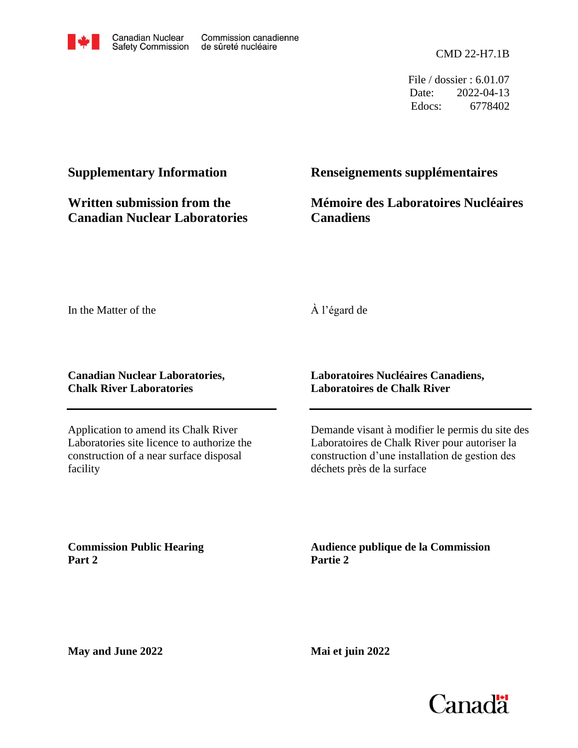

File / dossier : 6.01.07 Date: 2022-04-13 Edocs: 6778402

# **Supplementary Information**

**Written submission from the Canadian Nuclear Laboratories**

# **Renseignements supplémentaires**

**Mémoire des Laboratoires Nucléaires Canadiens** 

In the Matter of the

## À l'égard de

#### **Canadian Nuclear Laboratories, Chalk River Laboratories**

Application to amend its Chalk River Laboratories site licence to authorize the construction of a near surface disposal facility

## **Laboratoires Nucléaires Canadiens, Laboratoires de Chalk River**

Demande visant à modifier le permis du site des Laboratoires de Chalk River pour autoriser la construction d'une installation de gestion des déchets près de la surface

**Commission Public Hearing Part 2**

**Audience publique de la Commission Partie 2**

**May and June 2022**

**Mai et juin 2022**

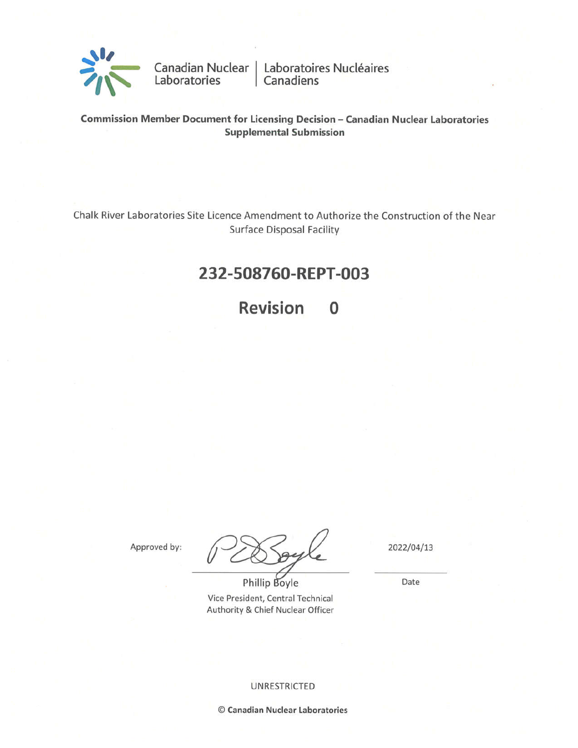

Canadian Nuclear | Laboratoires Nucléaires<br>Laboratories | Canadiens

Commission Member Document for Licensing Decision - Canadian Nuclear Laboratories **Supplemental Submission** 

Chalk River Laboratories Site Licence Amendment to Authorize the Construction of the Near **Surface Disposal Facility** 

# 232-508760-REPT-003

**Revision**  $\Omega$ 

Approved by:

Phillip Boyle Vice President, Central Technical Authority & Chief Nuclear Officer 2022/04/13

Date

**UNRESTRICTED** 

© Canadian Nuclear Laboratories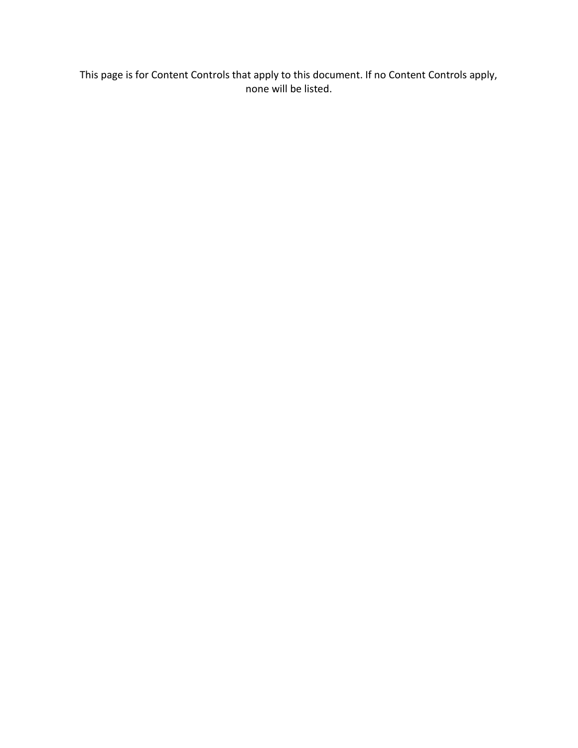This page is for Content Controls that apply to this document. If no Content Controls apply, none will be listed.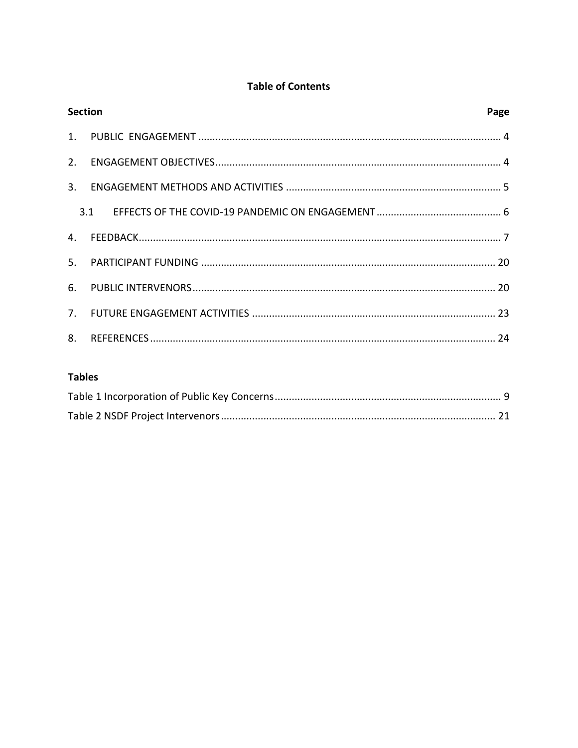## **Table of Contents**

| <b>Section</b> | Page |  |
|----------------|------|--|
|                |      |  |
|                |      |  |
|                |      |  |
|                |      |  |
|                |      |  |
|                |      |  |
|                |      |  |
|                |      |  |
|                |      |  |

### **Tables**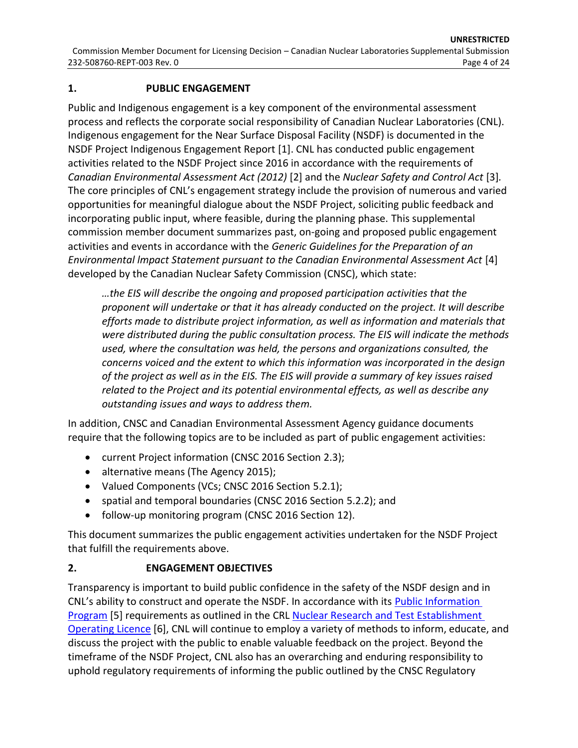#### **1. PUBLIC ENGAGEMENT**

Public and Indigenous engagement is a key component of the environmental assessment process and reflects the corporate social responsibility of Canadian Nuclear Laboratories (CNL). Indigenous engagement for the Near Surface Disposal Facility (NSDF) is documented in the NSDF Project Indigenous Engagement Report [\[1\]](#page-24-0). CNL has conducted public engagement activities related to the NSDF Project since 2016 in accordance with the requirements of *Canadian Environmental Assessment Act (2012)* [\[2\]](#page-24-1) and the *Nuclear Safety and Control Act* [\[3\]](#page-24-2)*.*  The core principles of CNL's engagement strategy include the provision of numerous and varied opportunities for meaningful dialogue about the NSDF Project, soliciting public feedback and incorporating public input, where feasible, during the planning phase. This supplemental commission member document summarizes past, on-going and proposed public engagement activities and events in accordance with the *Generic Guidelines for the Preparation of an Environmental lmpact Statement pursuant to the Canadian Environmental Assessment Act* [\[4\]](#page-24-3) developed by the Canadian Nuclear Safety Commission (CNSC), which state:

*…the EIS will describe the ongoing and proposed participation activities that the proponent will undertake or that it has already conducted on the project. It will describe efforts made to distribute project information, as well as information and materials that were distributed during the public consultation process. The EIS will indicate the methods used, where the consultation was held, the persons and organizations consulted, the concerns voiced and the extent to which this information was incorporated in the design of the project as well as in the EIS. The EIS will provide a summary of key issues raised related to the Project and its potential environmental effects, as well as describe any outstanding issues and ways to address them.*

In addition, CNSC and Canadian Environmental Assessment Agency guidance documents require that the following topics are to be included as part of public engagement activities:

- current Project information (CNSC 2016 Section 2.3);
- alternative means (The Agency 2015);
- Valued Components (VCs; CNSC 2016 Section 5.2.1);
- spatial and temporal boundaries (CNSC 2016 Section 5.2.2); and
- follow-up monitoring program (CNSC 2016 Section 12).

This document summarizes the public engagement activities undertaken for the NSDF Project that fulfill the requirements above.

### **2. ENGAGEMENT OBJECTIVES**

Transparency is important to build public confidence in the safety of the NSDF design and in CNL's ability to construct and operate the NSDF. In accordance with its [Public Information](https://www.cnl.ca/wp-content/uploads/2020/12/PIP-rev8.pdf)  [Program](https://www.cnl.ca/wp-content/uploads/2020/12/PIP-rev8.pdf) [\[5\]](#page-24-4) requirements as outlined in the CRL [Nuclear Research and Test Establishment](https://www.cnl.ca/wp-content/uploads/2020/11/NRTEOL-01.002028.pdf)  [Operating Licence](https://www.cnl.ca/wp-content/uploads/2020/11/NRTEOL-01.002028.pdf) [\[6\]](#page-24-5), CNL will continue to employ a variety of methods to inform, educate, and discuss the project with the public to enable valuable feedback on the project. Beyond the timeframe of the NSDF Project, CNL also has an overarching and enduring responsibility to uphold regulatory requirements of informing the public outlined by the CNSC Regulatory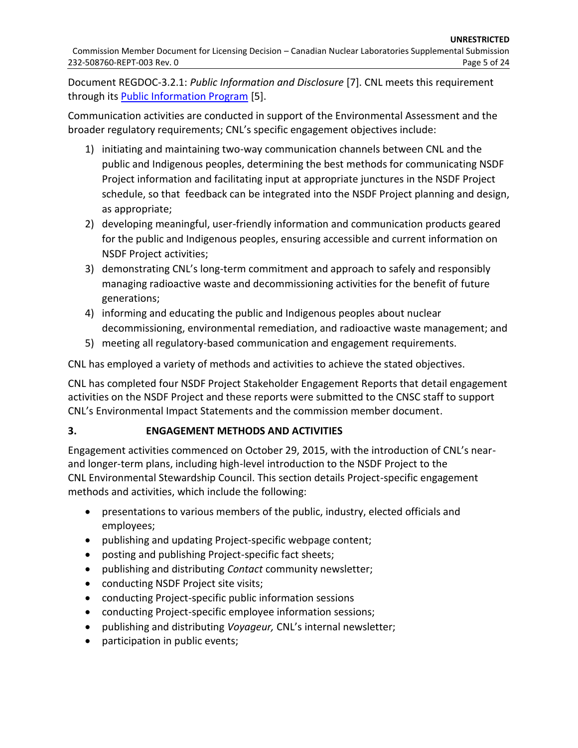Document REGDOC-3.2.1: *Public Information and Disclosure* [\[7\]](#page-24-6). CNL meets this requirement through its [Public Information Program](https://www.cnl.ca/wp-content/uploads/2020/12/PIP-rev8.pdf) [\[5\]](#page-24-4).

Communication activities are conducted in support of the Environmental Assessment and the broader regulatory requirements; CNL's specific engagement objectives include:

- 1) initiating and maintaining two-way communication channels between CNL and the public and Indigenous peoples, determining the best methods for communicating NSDF Project information and facilitating input at appropriate junctures in the NSDF Project schedule, so that feedback can be integrated into the NSDF Project planning and design, as appropriate;
- 2) developing meaningful, user-friendly information and communication products geared for the public and Indigenous peoples, ensuring accessible and current information on NSDF Project activities;
- 3) demonstrating CNL's long-term commitment and approach to safely and responsibly managing radioactive waste and decommissioning activities for the benefit of future generations;
- 4) informing and educating the public and Indigenous peoples about nuclear decommissioning, environmental remediation, and radioactive waste management; and
- 5) meeting all regulatory-based communication and engagement requirements.

CNL has employed a variety of methods and activities to achieve the stated objectives.

CNL has completed four NSDF Project Stakeholder Engagement Reports that detail engagement activities on the NSDF Project and these reports were submitted to the CNSC staff to support CNL's Environmental Impact Statements and the commission member document.

# **3. ENGAGEMENT METHODS AND ACTIVITIES**

Engagement activities commenced on October 29, 2015, with the introduction of CNL's nearand longer-term plans, including high-level introduction to the NSDF Project to the CNL Environmental Stewardship Council. This section details Project-specific engagement methods and activities, which include the following:

- presentations to various members of the public, industry, elected officials and employees;
- publishing and updating Project-specific webpage content;
- posting and publishing Project-specific fact sheets;
- publishing and distributing *Contact* community newsletter;
- conducting NSDF Project site visits;
- conducting Project-specific public information sessions
- conducting Project-specific employee information sessions;
- publishing and distributing *Voyageur,* CNL's internal newsletter;
- participation in public events;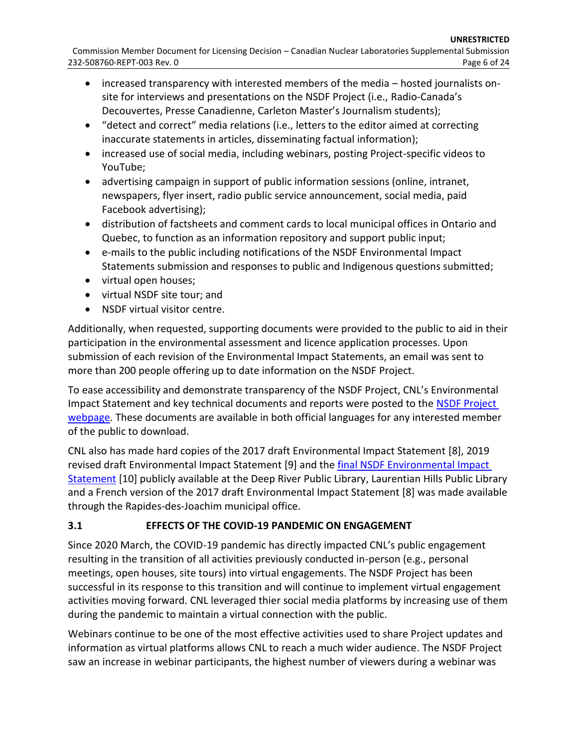- increased transparency with interested members of the media hosted journalists onsite for interviews and presentations on the NSDF Project (i.e., Radio-Canada's Decouvertes, Presse Canadienne, Carleton Master's Journalism students);
- "detect and correct" media relations (i.e., letters to the editor aimed at correcting inaccurate statements in articles, disseminating factual information);
- increased use of social media, including webinars, posting Project-specific videos to YouTube;
- advertising campaign in support of public information sessions (online, intranet, newspapers, flyer insert, radio public service announcement, social media, paid Facebook advertising);
- distribution of factsheets and comment cards to local municipal offices in Ontario and Quebec, to function as an information repository and support public input;
- e-mails to the public including notifications of the NSDF Environmental Impact Statements submission and responses to public and Indigenous questions submitted;
- virtual open houses;
- virtual NSDF site tour; and
- NSDF virtual visitor centre.

Additionally, when requested, supporting documents were provided to the public to aid in their participation in the environmental assessment and licence application processes. Upon submission of each revision of the Environmental Impact Statements, an email was sent to more than 200 people offering up to date information on the NSDF Project.

To ease accessibility and demonstrate transparency of the NSDF Project, CNL's Environmental Impact Statement and key technical documents and reports were posted to the NSDF Project [webpage.](http://www.cnl.ca/nsdf) These documents are available in both official languages for any interested member of the public to download.

CNL also has made hard copies of the 2017 draft Environmental Impact Statement [\[8\]](#page-24-7), 2019 revised draft Environmental Impact Statement [\[9\]](#page-24-8) and the [final NSDF Environmental Impact](https://www.iaac-aeic.gc.ca/050/documents/p80122/139596E.pdf)  [Statement](https://www.iaac-aeic.gc.ca/050/documents/p80122/139596E.pdf) [\[10\]](#page-24-9) publicly available at the Deep River Public Library, Laurentian Hills Public Library and a French version of the 2017 draft Environmental Impact Statement [\[8\]](#page-24-7) was made available through the Rapides-des-Joachim municipal office.

# **3.1 EFFECTS OF THE COVID-19 PANDEMIC ON ENGAGEMENT**

Since 2020 March, the COVID-19 pandemic has directly impacted CNL's public engagement resulting in the transition of all activities previously conducted in-person (e.g., personal meetings, open houses, site tours) into virtual engagements. The NSDF Project has been successful in its response to this transition and will continue to implement virtual engagement activities moving forward. CNL leveraged thier social media platforms by increasing use of them during the pandemic to maintain a virtual connection with the public.

Webinars continue to be one of the most effective activities used to share Project updates and information as virtual platforms allows CNL to reach a much wider audience. The NSDF Project saw an increase in webinar participants, the highest number of viewers during a webinar was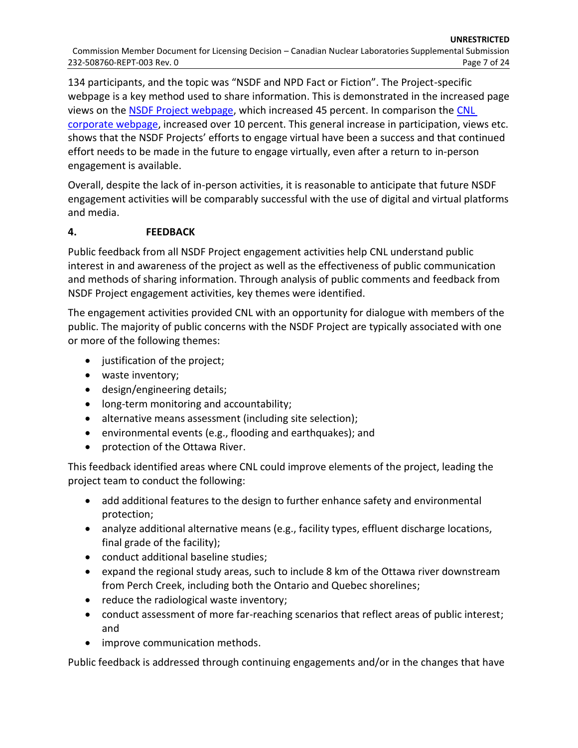134 participants, and the topic was "NSDF and NPD Fact or Fiction". The Project-specific webpage is a key method used to share information. This is demonstrated in the increased page views on the [NSDF Project webpage,](http://www.cnl.ca/nsdf) which increased 45 percent. In comparison the [CNL](http://www.cnl.ca/)  [corporate webpage,](http://www.cnl.ca/) increased over 10 percent. This general increase in participation, views etc. shows that the NSDF Projects' efforts to engage virtual have been a success and that continued effort needs to be made in the future to engage virtually, even after a return to in-person engagement is available.

Overall, despite the lack of in-person activities, it is reasonable to anticipate that future NSDF engagement activities will be comparably successful with the use of digital and virtual platforms and media.

## **4. FEEDBACK**

Public feedback from all NSDF Project engagement activities help CNL understand public interest in and awareness of the project as well as the effectiveness of public communication and methods of sharing information. Through analysis of public comments and feedback from NSDF Project engagement activities, key themes were identified.

The engagement activities provided CNL with an opportunity for dialogue with members of the public. The majority of public concerns with the NSDF Project are typically associated with one or more of the following themes:

- justification of the project;
- waste inventory;
- design/engineering details;
- **•** long-term monitoring and accountability;
- alternative means assessment (including site selection);
- environmental events (e.g., flooding and earthquakes); and
- protection of the Ottawa River.

This feedback identified areas where CNL could improve elements of the project, leading the project team to conduct the following:

- add additional features to the design to further enhance safety and environmental protection;
- analyze additional alternative means (e.g., facility types, effluent discharge locations, final grade of the facility);
- conduct additional baseline studies;
- expand the regional study areas, such to include 8 km of the Ottawa river downstream from Perch Creek, including both the Ontario and Quebec shorelines;
- reduce the radiological waste inventory;
- conduct assessment of more far-reaching scenarios that reflect areas of public interest; and
- improve communication methods.

Public feedback is addressed through continuing engagements and/or in the changes that have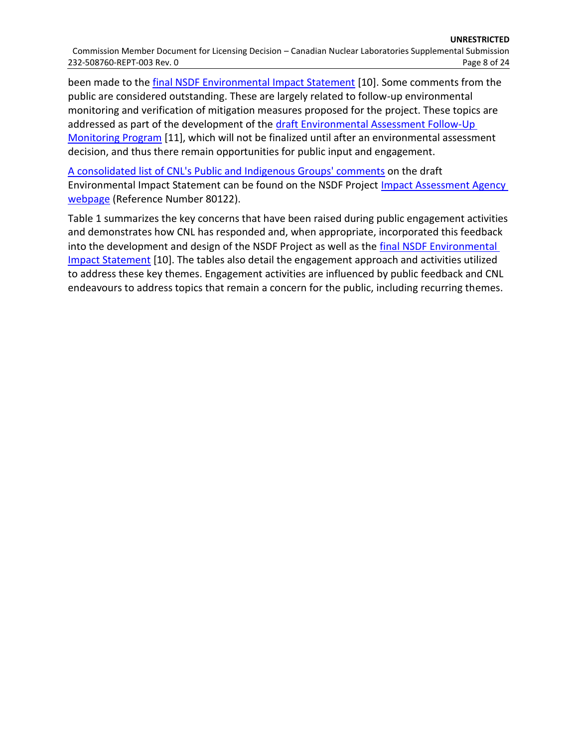been made to th[e final NSDF Environmental Impact Statement](https://www.iaac-aeic.gc.ca/050/documents/p80122/139596E.pdf) [\[10\]](#page-24-9). Some comments from the public are considered outstanding. These are largely related to follow-up environmental monitoring and verification of mitigation measures proposed for the project. These topics are addressed as part of the development of the draft Environmental Assessment Follow-Up [Monitoring Program](http://www.cnl.ca/wp-content/uploads/2021/07/Draft-Environmental-Assessment-Follow-Up-Monitoring-Program-for-the-Near-Surface-Disposal-Facility-Rev-0.pdf) [\[11\]](#page-24-10), which will not be finalized until after an environmental assessment decision, and thus there remain opportunities for public input and engagement.

[A consolidated list of CNL's Public and Indigenous G](https://www.iaac-aeic.gc.ca/050/documents/p80122/139599E.pdf)roups' comments on the draft Environmental Impact Statement can be found on the NSDF Project Impact Assessment Agency [webpage](https://iaac-aeic.gc.ca/050/evaluations/proj/80122?culture=en-CA) (Reference Number 80122).

[Table 1](#page-9-0) summarizes the key concerns that have been raised during public engagement activities and demonstrates how CNL has responded and, when appropriate, incorporated this feedback into the development and design of the NSDF Project as well as the [final NSDF Environmental](https://www.iaac-aeic.gc.ca/050/documents/p80122/139596E.pdf)  [Impact Statement](https://www.iaac-aeic.gc.ca/050/documents/p80122/139596E.pdf) [\[10\]](#page-24-9). The tables also detail the engagement approach and activities utilized to address these key themes. Engagement activities are influenced by public feedback and CNL endeavours to address topics that remain a concern for the public, including recurring themes.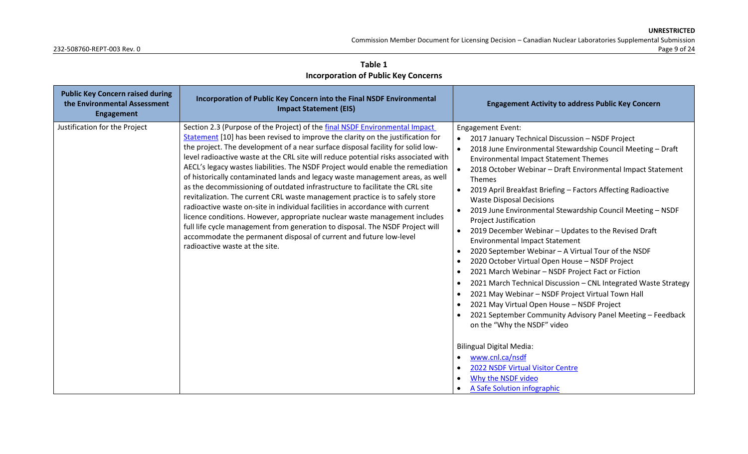Commission Member Document for Licensing Decision – Canadian Nuclear Laboratories Supplemental Submission

**Table 1 Incorporation of Public Key Concerns**

<span id="page-9-0"></span>

| <b>Public Key Concern raised during</b><br>the Environmental Assessment<br>Engagement | Incorporation of Public Key Concern into the Final NSDF Environmental<br><b>Impact Statement (EIS)</b>                                                                                                                                                                                                                                                                                                                                                                                                                                                                                                                                                                                                                                                                                                                                                                                                                                                                                                                               | <b>Engagement Activity to address Public Key Concern</b>                                                                                                                                                                                                                                                                                                                                                                                                                                                                                                                                                                                                                                                                                                                                                                                                                                                                                                                                                                                                                                                                                                |
|---------------------------------------------------------------------------------------|--------------------------------------------------------------------------------------------------------------------------------------------------------------------------------------------------------------------------------------------------------------------------------------------------------------------------------------------------------------------------------------------------------------------------------------------------------------------------------------------------------------------------------------------------------------------------------------------------------------------------------------------------------------------------------------------------------------------------------------------------------------------------------------------------------------------------------------------------------------------------------------------------------------------------------------------------------------------------------------------------------------------------------------|---------------------------------------------------------------------------------------------------------------------------------------------------------------------------------------------------------------------------------------------------------------------------------------------------------------------------------------------------------------------------------------------------------------------------------------------------------------------------------------------------------------------------------------------------------------------------------------------------------------------------------------------------------------------------------------------------------------------------------------------------------------------------------------------------------------------------------------------------------------------------------------------------------------------------------------------------------------------------------------------------------------------------------------------------------------------------------------------------------------------------------------------------------|
| Justification for the Project                                                         | Section 2.3 (Purpose of the Project) of the final NSDF Environmental Impact<br>Statement [10] has been revised to improve the clarity on the justification for<br>the project. The development of a near surface disposal facility for solid low-<br>level radioactive waste at the CRL site will reduce potential risks associated with<br>AECL's legacy wastes liabilities. The NSDF Project would enable the remediation<br>of historically contaminated lands and legacy waste management areas, as well<br>as the decommissioning of outdated infrastructure to facilitate the CRL site<br>revitalization. The current CRL waste management practice is to safely store<br>radioactive waste on-site in individual facilities in accordance with current<br>licence conditions. However, appropriate nuclear waste management includes<br>full life cycle management from generation to disposal. The NSDF Project will<br>accommodate the permanent disposal of current and future low-level<br>radioactive waste at the site. | <b>Engagement Event:</b><br>2017 January Technical Discussion - NSDF Project<br>2018 June Environmental Stewardship Council Meeting - Draft<br><b>Environmental Impact Statement Themes</b><br>2018 October Webinar - Draft Environmental Impact Statement<br>Themes<br>2019 April Breakfast Briefing - Factors Affecting Radioactive<br><b>Waste Disposal Decisions</b><br>2019 June Environmental Stewardship Council Meeting - NSDF<br><b>Project Justification</b><br>2019 December Webinar - Updates to the Revised Draft<br><b>Environmental Impact Statement</b><br>2020 September Webinar - A Virtual Tour of the NSDF<br>2020 October Virtual Open House - NSDF Project<br>2021 March Webinar - NSDF Project Fact or Fiction<br>2021 March Technical Discussion - CNL Integrated Waste Strategy<br>2021 May Webinar - NSDF Project Virtual Town Hall<br>2021 May Virtual Open House - NSDF Project<br>2021 September Community Advisory Panel Meeting - Feedback<br>on the "Why the NSDF" video<br><b>Bilingual Digital Media:</b><br>www.cnl.ca/nsdf<br>2022 NSDF Virtual Visitor Centre<br>Why the NSDF video<br>A Safe Solution infographic |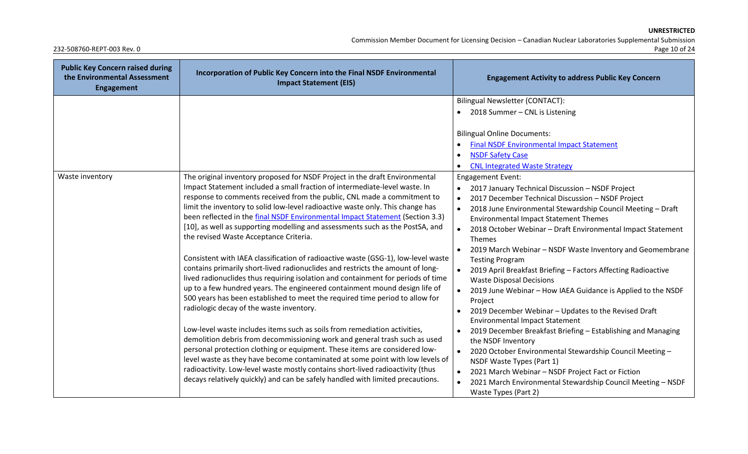Commission Member Document for Licensing Decision – Canadian Nuclear Laboratories Supplemental Submission

| <b>Public Key Concern raised during</b><br>the Environmental Assessment<br><b>Engagement</b> | Incorporation of Public Key Concern into the Final NSDF Environmental<br><b>Impact Statement (EIS)</b>                                                                                                                                                                                                                                                                                                                                                                                                                                                                                                                                                                                                                                                                                                                                                                                                                                                                                                                                                                                                                                                                                                                                                                                                                                                                                                                                                                                                | <b>Engagement Activity to address Public Key Concern</b>                                                                                                                                                                                                                                                                                                                                                                                                                                                                                                                                                                                                                                                                                                                                                                                                                                                                                                                                                                                                                                                               |
|----------------------------------------------------------------------------------------------|-------------------------------------------------------------------------------------------------------------------------------------------------------------------------------------------------------------------------------------------------------------------------------------------------------------------------------------------------------------------------------------------------------------------------------------------------------------------------------------------------------------------------------------------------------------------------------------------------------------------------------------------------------------------------------------------------------------------------------------------------------------------------------------------------------------------------------------------------------------------------------------------------------------------------------------------------------------------------------------------------------------------------------------------------------------------------------------------------------------------------------------------------------------------------------------------------------------------------------------------------------------------------------------------------------------------------------------------------------------------------------------------------------------------------------------------------------------------------------------------------------|------------------------------------------------------------------------------------------------------------------------------------------------------------------------------------------------------------------------------------------------------------------------------------------------------------------------------------------------------------------------------------------------------------------------------------------------------------------------------------------------------------------------------------------------------------------------------------------------------------------------------------------------------------------------------------------------------------------------------------------------------------------------------------------------------------------------------------------------------------------------------------------------------------------------------------------------------------------------------------------------------------------------------------------------------------------------------------------------------------------------|
|                                                                                              |                                                                                                                                                                                                                                                                                                                                                                                                                                                                                                                                                                                                                                                                                                                                                                                                                                                                                                                                                                                                                                                                                                                                                                                                                                                                                                                                                                                                                                                                                                       | Bilingual Newsletter (CONTACT):                                                                                                                                                                                                                                                                                                                                                                                                                                                                                                                                                                                                                                                                                                                                                                                                                                                                                                                                                                                                                                                                                        |
|                                                                                              |                                                                                                                                                                                                                                                                                                                                                                                                                                                                                                                                                                                                                                                                                                                                                                                                                                                                                                                                                                                                                                                                                                                                                                                                                                                                                                                                                                                                                                                                                                       | 2018 Summer - CNL is Listening                                                                                                                                                                                                                                                                                                                                                                                                                                                                                                                                                                                                                                                                                                                                                                                                                                                                                                                                                                                                                                                                                         |
|                                                                                              |                                                                                                                                                                                                                                                                                                                                                                                                                                                                                                                                                                                                                                                                                                                                                                                                                                                                                                                                                                                                                                                                                                                                                                                                                                                                                                                                                                                                                                                                                                       | <b>Bilingual Online Documents:</b><br><b>Final NSDF Environmental Impact Statement</b><br><b>NSDF Safety Case</b><br><b>CNL Integrated Waste Strategy</b>                                                                                                                                                                                                                                                                                                                                                                                                                                                                                                                                                                                                                                                                                                                                                                                                                                                                                                                                                              |
| Waste inventory                                                                              | The original inventory proposed for NSDF Project in the draft Environmental<br>Impact Statement included a small fraction of intermediate-level waste. In<br>response to comments received from the public, CNL made a commitment to<br>limit the inventory to solid low-level radioactive waste only. This change has<br>been reflected in the final NSDF Environmental Impact Statement (Section 3.3)<br>[10], as well as supporting modelling and assessments such as the PostSA, and<br>the revised Waste Acceptance Criteria.<br>Consistent with IAEA classification of radioactive waste (GSG-1), low-level waste<br>contains primarily short-lived radionuclides and restricts the amount of long-<br>lived radionuclides thus requiring isolation and containment for periods of time<br>up to a few hundred years. The engineered containment mound design life of<br>500 years has been established to meet the required time period to allow for<br>radiologic decay of the waste inventory.<br>Low-level waste includes items such as soils from remediation activities,<br>demolition debris from decommissioning work and general trash such as used<br>personal protection clothing or equipment. These items are considered low-<br>level waste as they have become contaminated at some point with low levels of<br>radioactivity. Low-level waste mostly contains short-lived radioactivity (thus<br>decays relatively quickly) and can be safely handled with limited precautions. | <b>Engagement Event:</b><br>2017 January Technical Discussion - NSDF Project<br>$\bullet$<br>2017 December Technical Discussion - NSDF Project<br>$\bullet$<br>2018 June Environmental Stewardship Council Meeting - Draft<br><b>Environmental Impact Statement Themes</b><br>2018 October Webinar - Draft Environmental Impact Statement<br>$\bullet$<br>Themes<br>2019 March Webinar - NSDF Waste Inventory and Geomembrane<br><b>Testing Program</b><br>2019 April Breakfast Briefing - Factors Affecting Radioactive<br><b>Waste Disposal Decisions</b><br>2019 June Webinar - How IAEA Guidance is Applied to the NSDF<br>$\bullet$<br>Project<br>2019 December Webinar - Updates to the Revised Draft<br>$\bullet$<br><b>Environmental Impact Statement</b><br>2019 December Breakfast Briefing - Establishing and Managing<br>the NSDF Inventory<br>2020 October Environmental Stewardship Council Meeting -<br>$\bullet$<br>NSDF Waste Types (Part 1)<br>2021 March Webinar - NSDF Project Fact or Fiction<br>$\bullet$<br>2021 March Environmental Stewardship Council Meeting - NSDF<br>Waste Types (Part 2) |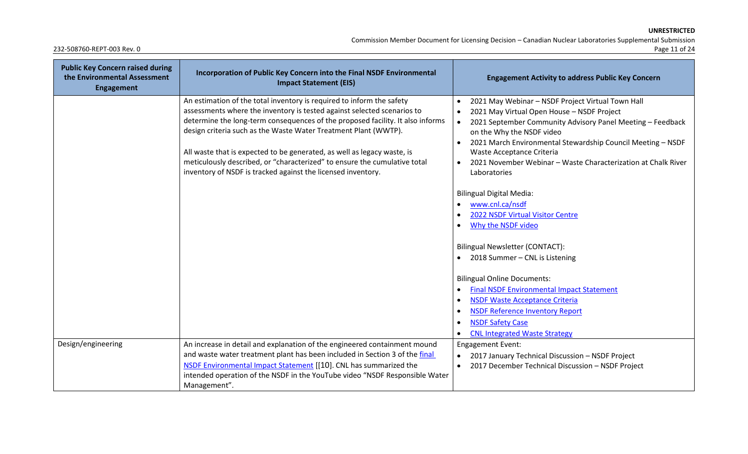Commission Member Document for Licensing Decision – Canadian Nuclear Laboratories Supplemental Submission

| <b>Public Key Concern raised during</b><br>the Environmental Assessment<br><b>Engagement</b> | Incorporation of Public Key Concern into the Final NSDF Environmental<br><b>Impact Statement (EIS)</b>                                                                                                                                                                                                                                                                                                                                                                                                                        | <b>Engagement Activity to address Public Key Concern</b>                                                                                                                                                                                                                                                                                                                             |
|----------------------------------------------------------------------------------------------|-------------------------------------------------------------------------------------------------------------------------------------------------------------------------------------------------------------------------------------------------------------------------------------------------------------------------------------------------------------------------------------------------------------------------------------------------------------------------------------------------------------------------------|--------------------------------------------------------------------------------------------------------------------------------------------------------------------------------------------------------------------------------------------------------------------------------------------------------------------------------------------------------------------------------------|
|                                                                                              | An estimation of the total inventory is required to inform the safety<br>assessments where the inventory is tested against selected scenarios to<br>determine the long-term consequences of the proposed facility. It also informs<br>design criteria such as the Waste Water Treatment Plant (WWTP).<br>All waste that is expected to be generated, as well as legacy waste, is<br>meticulously described, or "characterized" to ensure the cumulative total<br>inventory of NSDF is tracked against the licensed inventory. | 2021 May Webinar - NSDF Project Virtual Town Hall<br>2021 May Virtual Open House - NSDF Project<br>2021 September Community Advisory Panel Meeting - Feedback<br>on the Why the NSDF video<br>2021 March Environmental Stewardship Council Meeting - NSDF<br>Waste Acceptance Criteria<br>2021 November Webinar - Waste Characterization at Chalk River<br>$\bullet$<br>Laboratories |
|                                                                                              |                                                                                                                                                                                                                                                                                                                                                                                                                                                                                                                               | <b>Bilingual Digital Media:</b><br>www.cnl.ca/nsdf<br>2022 NSDF Virtual Visitor Centre<br>Why the NSDF video<br>Bilingual Newsletter (CONTACT):                                                                                                                                                                                                                                      |
|                                                                                              |                                                                                                                                                                                                                                                                                                                                                                                                                                                                                                                               | 2018 Summer - CNL is Listening<br><b>Bilingual Online Documents:</b><br><b>Final NSDF Environmental Impact Statement</b><br>$\bullet$<br><b>NSDF Waste Acceptance Criteria</b><br>$\bullet$<br><b>NSDF Reference Inventory Report</b><br><b>NSDF Safety Case</b><br><b>CNL Integrated Waste Strategy</b>                                                                             |
| Design/engineering                                                                           | An increase in detail and explanation of the engineered containment mound<br>and waste water treatment plant has been included in Section 3 of the final<br>NSDF Environmental Impact Statement [[10]. CNL has summarized the<br>intended operation of the NSDF in the YouTube video "NSDF Responsible Water<br>Management".                                                                                                                                                                                                  | <b>Engagement Event:</b><br>2017 January Technical Discussion - NSDF Project<br>2017 December Technical Discussion - NSDF Project<br>$\bullet$                                                                                                                                                                                                                                       |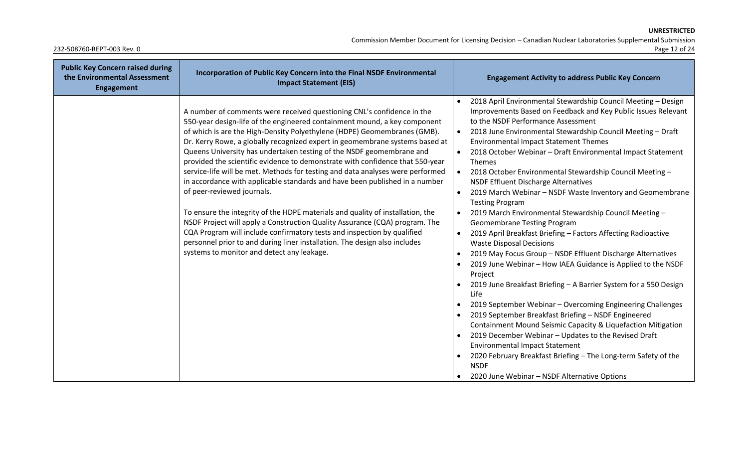Commission Member Document for Licensing Decision – Canadian Nuclear Laboratories Supplemental Submission

| <b>Public Key Concern raised during</b><br>the Environmental Assessment<br><b>Engagement</b> | Incorporation of Public Key Concern into the Final NSDF Environmental<br><b>Impact Statement (EIS)</b>                                                                                                                                                                                                                                                                                                                                                                                                                                                                                                                                                                                                                                                                                                                                                                                                                                                                                                                                          | <b>Engagement Activity to address Public Key Concern</b>                                                                                                                                                                                                                                                                                                                                                                                                                                                                                                                                                                                                                                                                                                                                                                                                                                                                                                                                                                                                                                                                                                                                                                                                                                                                                                                                                                                                                                                                                                                                 |
|----------------------------------------------------------------------------------------------|-------------------------------------------------------------------------------------------------------------------------------------------------------------------------------------------------------------------------------------------------------------------------------------------------------------------------------------------------------------------------------------------------------------------------------------------------------------------------------------------------------------------------------------------------------------------------------------------------------------------------------------------------------------------------------------------------------------------------------------------------------------------------------------------------------------------------------------------------------------------------------------------------------------------------------------------------------------------------------------------------------------------------------------------------|------------------------------------------------------------------------------------------------------------------------------------------------------------------------------------------------------------------------------------------------------------------------------------------------------------------------------------------------------------------------------------------------------------------------------------------------------------------------------------------------------------------------------------------------------------------------------------------------------------------------------------------------------------------------------------------------------------------------------------------------------------------------------------------------------------------------------------------------------------------------------------------------------------------------------------------------------------------------------------------------------------------------------------------------------------------------------------------------------------------------------------------------------------------------------------------------------------------------------------------------------------------------------------------------------------------------------------------------------------------------------------------------------------------------------------------------------------------------------------------------------------------------------------------------------------------------------------------|
|                                                                                              | A number of comments were received questioning CNL's confidence in the<br>550-year design-life of the engineered containment mound, a key component<br>of which is are the High-Density Polyethylene (HDPE) Geomembranes (GMB).<br>Dr. Kerry Rowe, a globally recognized expert in geomembrane systems based at<br>Queens University has undertaken testing of the NSDF geomembrane and<br>provided the scientific evidence to demonstrate with confidence that 550-year<br>service-life will be met. Methods for testing and data analyses were performed<br>in accordance with applicable standards and have been published in a number<br>of peer-reviewed journals.<br>To ensure the integrity of the HDPE materials and quality of installation, the<br>NSDF Project will apply a Construction Quality Assurance (CQA) program. The<br>CQA Program will include confirmatory tests and inspection by qualified<br>personnel prior to and during liner installation. The design also includes<br>systems to monitor and detect any leakage. | 2018 April Environmental Stewardship Council Meeting - Design<br>Improvements Based on Feedback and Key Public Issues Relevant<br>to the NSDF Performance Assessment<br>2018 June Environmental Stewardship Council Meeting - Draft<br>$\bullet$<br><b>Environmental Impact Statement Themes</b><br>2018 October Webinar - Draft Environmental Impact Statement<br>$\bullet$<br>Themes<br>2018 October Environmental Stewardship Council Meeting -<br>$\bullet$<br><b>NSDF Effluent Discharge Alternatives</b><br>2019 March Webinar - NSDF Waste Inventory and Geomembrane<br>$\bullet$<br><b>Testing Program</b><br>2019 March Environmental Stewardship Council Meeting -<br>$\bullet$<br><b>Geomembrane Testing Program</b><br>2019 April Breakfast Briefing - Factors Affecting Radioactive<br>$\bullet$<br><b>Waste Disposal Decisions</b><br>2019 May Focus Group - NSDF Effluent Discharge Alternatives<br>$\bullet$<br>2019 June Webinar - How IAEA Guidance is Applied to the NSDF<br>$\bullet$<br>Project<br>2019 June Breakfast Briefing - A Barrier System for a 550 Design<br>$\bullet$<br>Life<br>2019 September Webinar - Overcoming Engineering Challenges<br>$\bullet$<br>2019 September Breakfast Briefing - NSDF Engineered<br>$\bullet$<br>Containment Mound Seismic Capacity & Liquefaction Mitigation<br>2019 December Webinar - Updates to the Revised Draft<br>$\bullet$<br><b>Environmental Impact Statement</b><br>2020 February Breakfast Briefing - The Long-term Safety of the<br>$\bullet$<br><b>NSDF</b><br>2020 June Webinar - NSDF Alternative Options |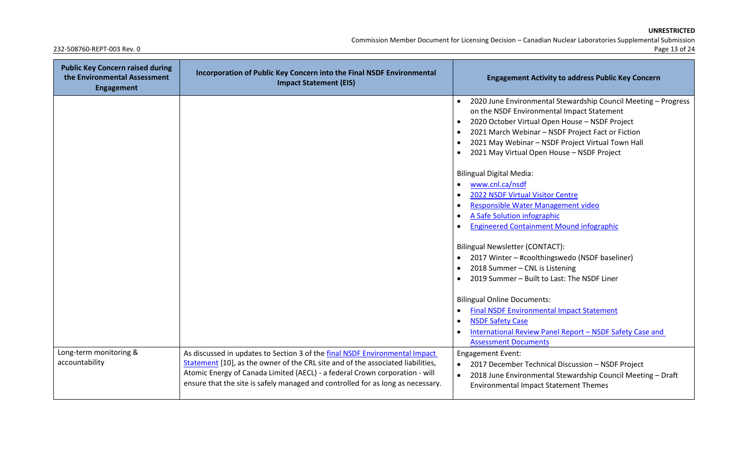Commission Member Document for Licensing Decision – Canadian Nuclear Laboratories Supplemental Submission

| <b>Public Key Concern raised during</b><br>the Environmental Assessment<br><b>Engagement</b> | Incorporation of Public Key Concern into the Final NSDF Environmental<br><b>Impact Statement (EIS)</b>                                                                                                                                                                                                                           | <b>Engagement Activity to address Public Key Concern</b>                                                                                                                                                                                                                                                               |
|----------------------------------------------------------------------------------------------|----------------------------------------------------------------------------------------------------------------------------------------------------------------------------------------------------------------------------------------------------------------------------------------------------------------------------------|------------------------------------------------------------------------------------------------------------------------------------------------------------------------------------------------------------------------------------------------------------------------------------------------------------------------|
|                                                                                              |                                                                                                                                                                                                                                                                                                                                  | 2020 June Environmental Stewardship Council Meeting - Progress<br>on the NSDF Environmental Impact Statement<br>2020 October Virtual Open House - NSDF Project<br>2021 March Webinar - NSDF Project Fact or Fiction<br>2021 May Webinar - NSDF Project Virtual Town Hall<br>2021 May Virtual Open House - NSDF Project |
|                                                                                              |                                                                                                                                                                                                                                                                                                                                  | <b>Bilingual Digital Media:</b><br>www.cnl.ca/nsdf<br>2022 NSDF Virtual Visitor Centre<br>Responsible Water Management video<br>A Safe Solution infographic<br><b>Engineered Containment Mound infographic</b>                                                                                                         |
|                                                                                              |                                                                                                                                                                                                                                                                                                                                  | Bilingual Newsletter (CONTACT):<br>2017 Winter - #coolthingswedo (NSDF baseliner)<br>2018 Summer - CNL is Listening<br>2019 Summer - Built to Last: The NSDF Liner                                                                                                                                                     |
|                                                                                              |                                                                                                                                                                                                                                                                                                                                  | <b>Bilingual Online Documents:</b><br><b>Final NSDF Environmental Impact Statement</b><br><b>NSDF Safety Case</b><br>International Review Panel Report - NSDF Safety Case and<br><b>Assessment Documents</b>                                                                                                           |
| Long-term monitoring &<br>accountability                                                     | As discussed in updates to Section 3 of the final NSDF Environmental Impact<br>Statement [10], as the owner of the CRL site and of the associated liabilities,<br>Atomic Energy of Canada Limited (AECL) - a federal Crown corporation - will<br>ensure that the site is safely managed and controlled for as long as necessary. | <b>Engagement Event:</b><br>2017 December Technical Discussion - NSDF Project<br>2018 June Environmental Stewardship Council Meeting - Draft<br>$\bullet$<br><b>Environmental Impact Statement Themes</b>                                                                                                              |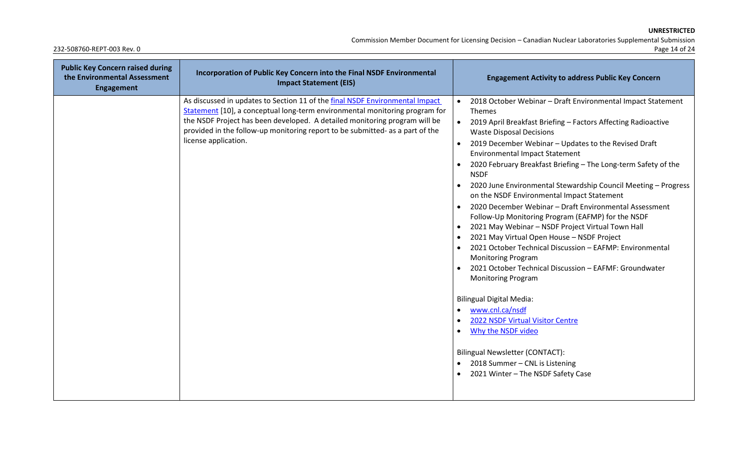Commission Member Document for Licensing Decision – Canadian Nuclear Laboratories Supplemental Submission

| <b>Public Key Concern raised during</b><br>the Environmental Assessment<br>Engagement | Incorporation of Public Key Concern into the Final NSDF Environmental<br><b>Impact Statement (EIS)</b>                                                                                                                                                                                                                                             | <b>Engagement Activity to address Public Key Concern</b>                                                                                                                                                                                                                                                                                                                                                                                                                                                                                                                                                                                                                                                                                                                                                                                                                                                                                                                                                                                                                                                                                               |
|---------------------------------------------------------------------------------------|----------------------------------------------------------------------------------------------------------------------------------------------------------------------------------------------------------------------------------------------------------------------------------------------------------------------------------------------------|--------------------------------------------------------------------------------------------------------------------------------------------------------------------------------------------------------------------------------------------------------------------------------------------------------------------------------------------------------------------------------------------------------------------------------------------------------------------------------------------------------------------------------------------------------------------------------------------------------------------------------------------------------------------------------------------------------------------------------------------------------------------------------------------------------------------------------------------------------------------------------------------------------------------------------------------------------------------------------------------------------------------------------------------------------------------------------------------------------------------------------------------------------|
|                                                                                       | As discussed in updates to Section 11 of the final NSDF Environmental Impact<br>Statement [10], a conceptual long-term environmental monitoring program for<br>the NSDF Project has been developed. A detailed monitoring program will be<br>provided in the follow-up monitoring report to be submitted- as a part of the<br>license application. | 2018 October Webinar - Draft Environmental Impact Statement<br>Themes<br>$\bullet$<br>2019 April Breakfast Briefing - Factors Affecting Radioactive<br><b>Waste Disposal Decisions</b><br>2019 December Webinar - Updates to the Revised Draft<br><b>Environmental Impact Statement</b><br>2020 February Breakfast Briefing - The Long-term Safety of the<br><b>NSDF</b><br>2020 June Environmental Stewardship Council Meeting - Progress<br>$\bullet$<br>on the NSDF Environmental Impact Statement<br>2020 December Webinar - Draft Environmental Assessment<br>Follow-Up Monitoring Program (EAFMP) for the NSDF<br>2021 May Webinar - NSDF Project Virtual Town Hall<br>2021 May Virtual Open House - NSDF Project<br>2021 October Technical Discussion - EAFMP: Environmental<br><b>Monitoring Program</b><br>2021 October Technical Discussion - EAFMF: Groundwater<br><b>Monitoring Program</b><br><b>Bilingual Digital Media:</b><br>www.cnl.ca/nsdf<br>2022 NSDF Virtual Visitor Centre<br>Why the NSDF video<br>$\bullet$<br><b>Bilingual Newsletter (CONTACT):</b><br>2018 Summer - CNL is Listening<br>2021 Winter - The NSDF Safety Case |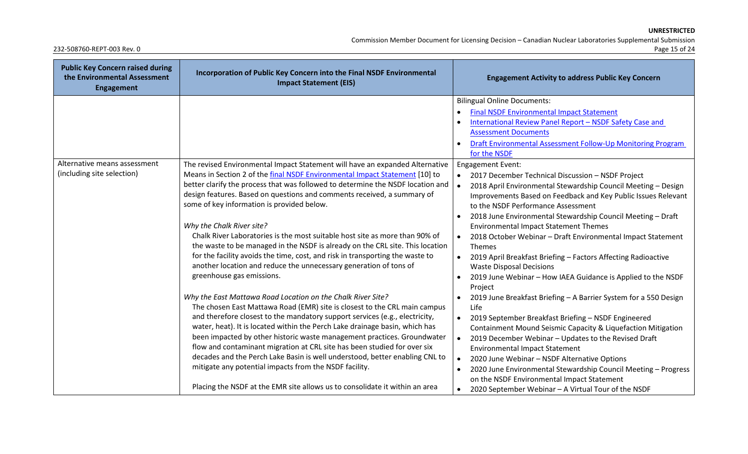Commission Member Document for Licensing Decision – Canadian Nuclear Laboratories Supplemental Submission

| <b>Public Key Concern raised during</b><br>the Environmental Assessment<br><b>Engagement</b> | Incorporation of Public Key Concern into the Final NSDF Environmental<br><b>Impact Statement (EIS)</b>                                                                                                                                                                                                                                                                                                                                                                                                                                                                                                                                                                                | <b>Engagement Activity to address Public Key Concern</b>                                                                                                                                                                                                                                                                                                                                                                                                                                                                                                                                                      |
|----------------------------------------------------------------------------------------------|---------------------------------------------------------------------------------------------------------------------------------------------------------------------------------------------------------------------------------------------------------------------------------------------------------------------------------------------------------------------------------------------------------------------------------------------------------------------------------------------------------------------------------------------------------------------------------------------------------------------------------------------------------------------------------------|---------------------------------------------------------------------------------------------------------------------------------------------------------------------------------------------------------------------------------------------------------------------------------------------------------------------------------------------------------------------------------------------------------------------------------------------------------------------------------------------------------------------------------------------------------------------------------------------------------------|
| Alternative means assessment                                                                 | The revised Environmental Impact Statement will have an expanded Alternative                                                                                                                                                                                                                                                                                                                                                                                                                                                                                                                                                                                                          | <b>Bilingual Online Documents:</b><br><b>Final NSDF Environmental Impact Statement</b><br>International Review Panel Report - NSDF Safety Case and<br><b>Assessment Documents</b><br>Draft Environmental Assessment Follow-Up Monitoring Program<br>for the NSDF<br><b>Engagement Event:</b>                                                                                                                                                                                                                                                                                                                  |
| (including site selection)                                                                   | Means in Section 2 of the final NSDF Environmental Impact Statement [10] to<br>better clarify the process that was followed to determine the NSDF location and<br>design features. Based on questions and comments received, a summary of<br>some of key information is provided below.<br>Why the Chalk River site?<br>Chalk River Laboratories is the most suitable host site as more than 90% of<br>the waste to be managed in the NSDF is already on the CRL site. This location<br>for the facility avoids the time, cost, and risk in transporting the waste to<br>another location and reduce the unnecessary generation of tons of<br>greenhouse gas emissions.               | 2017 December Technical Discussion - NSDF Project<br>2018 April Environmental Stewardship Council Meeting - Design<br>Improvements Based on Feedback and Key Public Issues Relevant<br>to the NSDF Performance Assessment<br>2018 June Environmental Stewardship Council Meeting - Draft<br><b>Environmental Impact Statement Themes</b><br>2018 October Webinar - Draft Environmental Impact Statement<br>$\bullet$<br>Themes<br>2019 April Breakfast Briefing - Factors Affecting Radioactive<br><b>Waste Disposal Decisions</b><br>2019 June Webinar - How IAEA Guidance is Applied to the NSDF<br>Project |
|                                                                                              | Why the East Mattawa Road Location on the Chalk River Site?<br>The chosen East Mattawa Road (EMR) site is closest to the CRL main campus<br>and therefore closest to the mandatory support services (e.g., electricity,<br>water, heat). It is located within the Perch Lake drainage basin, which has<br>been impacted by other historic waste management practices. Groundwater<br>flow and contaminant migration at CRL site has been studied for over six<br>decades and the Perch Lake Basin is well understood, better enabling CNL to<br>mitigate any potential impacts from the NSDF facility.<br>Placing the NSDF at the EMR site allows us to consolidate it within an area | 2019 June Breakfast Briefing - A Barrier System for a 550 Design<br>Life<br>2019 September Breakfast Briefing - NSDF Engineered<br>$\bullet$<br>Containment Mound Seismic Capacity & Liquefaction Mitigation<br>$\bullet$<br>2019 December Webinar - Updates to the Revised Draft<br><b>Environmental Impact Statement</b><br>2020 June Webinar - NSDF Alternative Options<br>2020 June Environmental Stewardship Council Meeting - Progress<br>on the NSDF Environmental Impact Statement<br>2020 September Webinar - A Virtual Tour of the NSDF                                                             |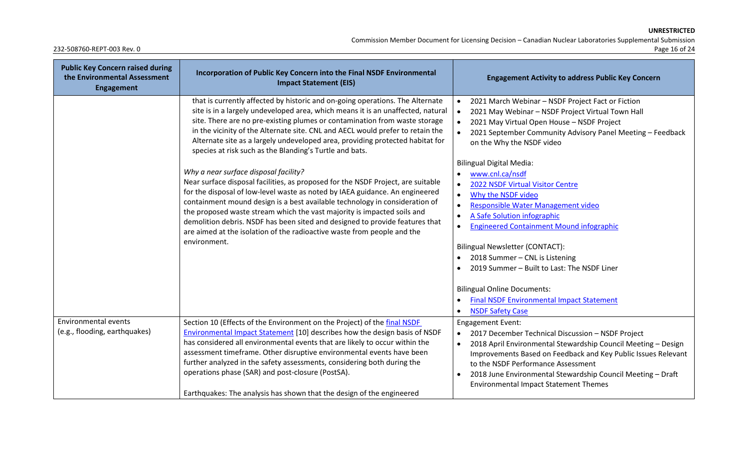Commission Member Document for Licensing Decision – Canadian Nuclear Laboratories Supplemental Submission

| <b>Public Key Concern raised during</b><br>the Environmental Assessment<br><b>Engagement</b> | Incorporation of Public Key Concern into the Final NSDF Environmental<br><b>Impact Statement (EIS)</b>                                                                                                                                                                                                                                                                                                                                                                                                                                         | <b>Engagement Activity to address Public Key Concern</b>                                                                                                                                                                                                                                                                                                                                                                                                                                  |
|----------------------------------------------------------------------------------------------|------------------------------------------------------------------------------------------------------------------------------------------------------------------------------------------------------------------------------------------------------------------------------------------------------------------------------------------------------------------------------------------------------------------------------------------------------------------------------------------------------------------------------------------------|-------------------------------------------------------------------------------------------------------------------------------------------------------------------------------------------------------------------------------------------------------------------------------------------------------------------------------------------------------------------------------------------------------------------------------------------------------------------------------------------|
|                                                                                              | that is currently affected by historic and on-going operations. The Alternate<br>site is in a largely undeveloped area, which means it is an unaffected, natural<br>site. There are no pre-existing plumes or contamination from waste storage<br>in the vicinity of the Alternate site. CNL and AECL would prefer to retain the<br>Alternate site as a largely undeveloped area, providing protected habitat for<br>species at risk such as the Blanding's Turtle and bats.                                                                   | 2021 March Webinar - NSDF Project Fact or Fiction<br>2021 May Webinar - NSDF Project Virtual Town Hall<br>2021 May Virtual Open House - NSDF Project<br>2021 September Community Advisory Panel Meeting - Feedback<br>on the Why the NSDF video                                                                                                                                                                                                                                           |
|                                                                                              | Why a near surface disposal facility?<br>Near surface disposal facilities, as proposed for the NSDF Project, are suitable<br>for the disposal of low-level waste as noted by IAEA guidance. An engineered<br>containment mound design is a best available technology in consideration of<br>the proposed waste stream which the vast majority is impacted soils and<br>demolition debris. NSDF has been sited and designed to provide features that<br>are aimed at the isolation of the radioactive waste from people and the<br>environment. | <b>Bilingual Digital Media:</b><br>www.cnl.ca/nsdf<br>2022 NSDF Virtual Visitor Centre<br>Why the NSDF video<br>$\bullet$<br>Responsible Water Management video<br>$\bullet$<br>A Safe Solution infographic<br>$\bullet$<br><b>Engineered Containment Mound infographic</b><br>Bilingual Newsletter (CONTACT):<br>2018 Summer - CNL is Listening<br>2019 Summer - Built to Last: The NSDF Liner<br><b>Bilingual Online Documents:</b><br><b>Final NSDF Environmental Impact Statement</b> |
| <b>Environmental events</b><br>(e.g., flooding, earthquakes)                                 | Section 10 (Effects of the Environment on the Project) of the final NSDF<br>Environmental Impact Statement [10] describes how the design basis of NSDF<br>has considered all environmental events that are likely to occur within the<br>assessment timeframe. Other disruptive environmental events have been<br>further analyzed in the safety assessments, considering both during the<br>operations phase (SAR) and post-closure (PostSA).<br>Earthquakes: The analysis has shown that the design of the engineered                        | <b>NSDF Safety Case</b><br><b>Engagement Event:</b><br>2017 December Technical Discussion - NSDF Project<br>$\bullet$<br>2018 April Environmental Stewardship Council Meeting - Design<br>Improvements Based on Feedback and Key Public Issues Relevant<br>to the NSDF Performance Assessment<br>2018 June Environmental Stewardship Council Meeting - Draft<br><b>Environmental Impact Statement Themes</b>                                                                              |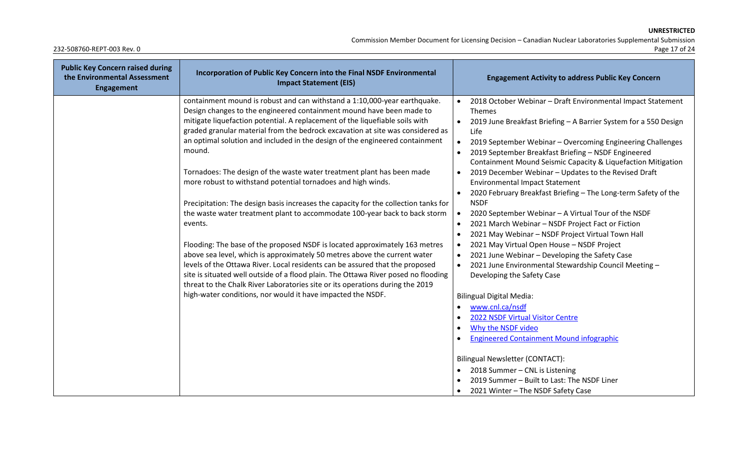Commission Member Document for Licensing Decision – Canadian Nuclear Laboratories Supplemental Submission

| <b>Public Key Concern raised during</b><br>the Environmental Assessment<br><b>Engagement</b> | Incorporation of Public Key Concern into the Final NSDF Environmental<br><b>Impact Statement (EIS)</b>                                 |           | <b>Engagement Activity to address Public Key Concern</b>                                                            |
|----------------------------------------------------------------------------------------------|----------------------------------------------------------------------------------------------------------------------------------------|-----------|---------------------------------------------------------------------------------------------------------------------|
|                                                                                              | containment mound is robust and can withstand a 1:10,000-year earthquake.                                                              | $\bullet$ | 2018 October Webinar - Draft Environmental Impact Statement                                                         |
|                                                                                              | Design changes to the engineered containment mound have been made to                                                                   |           | Themes                                                                                                              |
|                                                                                              | mitigate liquefaction potential. A replacement of the liquefiable soils with                                                           |           | 2019 June Breakfast Briefing - A Barrier System for a 550 Design                                                    |
|                                                                                              | graded granular material from the bedrock excavation at site was considered as                                                         |           | Life                                                                                                                |
|                                                                                              | an optimal solution and included in the design of the engineered containment                                                           | $\bullet$ | 2019 September Webinar - Overcoming Engineering Challenges                                                          |
|                                                                                              | mound.                                                                                                                                 |           | 2019 September Breakfast Briefing - NSDF Engineered<br>Containment Mound Seismic Capacity & Liquefaction Mitigation |
|                                                                                              | Tornadoes: The design of the waste water treatment plant has been made<br>more robust to withstand potential tornadoes and high winds. |           | 2019 December Webinar - Updates to the Revised Draft<br><b>Environmental Impact Statement</b>                       |
|                                                                                              |                                                                                                                                        |           | 2020 February Breakfast Briefing - The Long-term Safety of the                                                      |
|                                                                                              | Precipitation: The design basis increases the capacity for the collection tanks for                                                    |           | <b>NSDF</b>                                                                                                         |
|                                                                                              | the waste water treatment plant to accommodate 100-year back to back storm                                                             |           | 2020 September Webinar - A Virtual Tour of the NSDF                                                                 |
|                                                                                              | events.                                                                                                                                | $\bullet$ | 2021 March Webinar - NSDF Project Fact or Fiction                                                                   |
|                                                                                              |                                                                                                                                        |           | 2021 May Webinar - NSDF Project Virtual Town Hall                                                                   |
|                                                                                              | Flooding: The base of the proposed NSDF is located approximately 163 metres                                                            |           | 2021 May Virtual Open House - NSDF Project                                                                          |
|                                                                                              | above sea level, which is approximately 50 metres above the current water                                                              |           | 2021 June Webinar - Developing the Safety Case                                                                      |
|                                                                                              | levels of the Ottawa River. Local residents can be assured that the proposed                                                           |           | 2021 June Environmental Stewardship Council Meeting -                                                               |
|                                                                                              | site is situated well outside of a flood plain. The Ottawa River posed no flooding                                                     |           | Developing the Safety Case                                                                                          |
|                                                                                              | threat to the Chalk River Laboratories site or its operations during the 2019                                                          |           |                                                                                                                     |
|                                                                                              | high-water conditions, nor would it have impacted the NSDF.                                                                            |           | <b>Bilingual Digital Media:</b>                                                                                     |
|                                                                                              |                                                                                                                                        |           | www.cnl.ca/nsdf                                                                                                     |
|                                                                                              |                                                                                                                                        |           | 2022 NSDF Virtual Visitor Centre                                                                                    |
|                                                                                              |                                                                                                                                        |           | Why the NSDF video                                                                                                  |
|                                                                                              |                                                                                                                                        |           | <b>Engineered Containment Mound infographic</b>                                                                     |
|                                                                                              |                                                                                                                                        |           | Bilingual Newsletter (CONTACT):                                                                                     |
|                                                                                              |                                                                                                                                        |           | 2018 Summer - CNL is Listening                                                                                      |
|                                                                                              |                                                                                                                                        |           | 2019 Summer - Built to Last: The NSDF Liner                                                                         |
|                                                                                              |                                                                                                                                        | $\bullet$ | 2021 Winter - The NSDF Safety Case                                                                                  |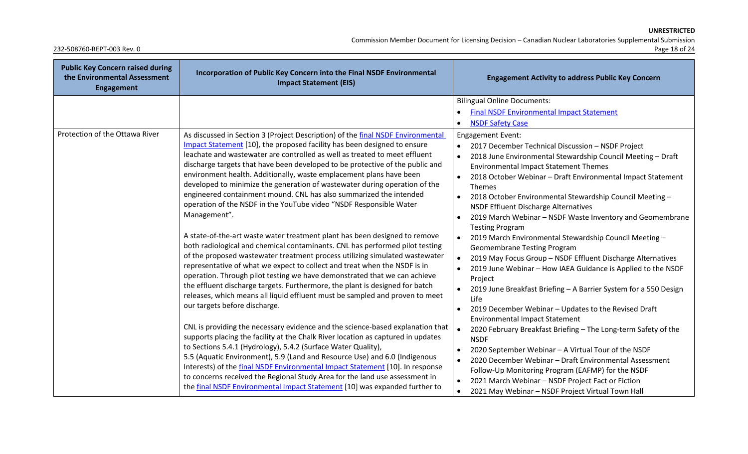Commission Member Document for Licensing Decision – Canadian Nuclear Laboratories Supplemental Submission

| <b>Public Key Concern raised during</b><br>the Environmental Assessment<br><b>Engagement</b> | Incorporation of Public Key Concern into the Final NSDF Environmental<br><b>Impact Statement (EIS)</b>                                                                                                                                                                                                                                                                                                                                                                                                                                                                                                                                                                                                                                                                                                                                                                                                                                                                                                                                                                                                                                                                                                                                                                                                                                                                                                                                                                                                                                                                                                                                                                                                                                                                                                                 | <b>Engagement Activity to address Public Key Concern</b>                                                                                                                                                                                                                                                                                                                                                                                                                                                                                                                                                                                                                                                                                                                                                                                                                                                                                                                                                                                                                                                                                                                                                                                                                                                            |
|----------------------------------------------------------------------------------------------|------------------------------------------------------------------------------------------------------------------------------------------------------------------------------------------------------------------------------------------------------------------------------------------------------------------------------------------------------------------------------------------------------------------------------------------------------------------------------------------------------------------------------------------------------------------------------------------------------------------------------------------------------------------------------------------------------------------------------------------------------------------------------------------------------------------------------------------------------------------------------------------------------------------------------------------------------------------------------------------------------------------------------------------------------------------------------------------------------------------------------------------------------------------------------------------------------------------------------------------------------------------------------------------------------------------------------------------------------------------------------------------------------------------------------------------------------------------------------------------------------------------------------------------------------------------------------------------------------------------------------------------------------------------------------------------------------------------------------------------------------------------------------------------------------------------------|---------------------------------------------------------------------------------------------------------------------------------------------------------------------------------------------------------------------------------------------------------------------------------------------------------------------------------------------------------------------------------------------------------------------------------------------------------------------------------------------------------------------------------------------------------------------------------------------------------------------------------------------------------------------------------------------------------------------------------------------------------------------------------------------------------------------------------------------------------------------------------------------------------------------------------------------------------------------------------------------------------------------------------------------------------------------------------------------------------------------------------------------------------------------------------------------------------------------------------------------------------------------------------------------------------------------|
|                                                                                              |                                                                                                                                                                                                                                                                                                                                                                                                                                                                                                                                                                                                                                                                                                                                                                                                                                                                                                                                                                                                                                                                                                                                                                                                                                                                                                                                                                                                                                                                                                                                                                                                                                                                                                                                                                                                                        | <b>Bilingual Online Documents:</b><br><b>Final NSDF Environmental Impact Statement</b><br>$\bullet$<br><b>NSDF Safety Case</b><br>$\bullet$                                                                                                                                                                                                                                                                                                                                                                                                                                                                                                                                                                                                                                                                                                                                                                                                                                                                                                                                                                                                                                                                                                                                                                         |
| Protection of the Ottawa River                                                               | As discussed in Section 3 (Project Description) of the final NSDF Environmental<br>Impact Statement [10], the proposed facility has been designed to ensure<br>leachate and wastewater are controlled as well as treated to meet effluent<br>discharge targets that have been developed to be protective of the public and<br>environment health. Additionally, waste emplacement plans have been<br>developed to minimize the generation of wastewater during operation of the<br>engineered containment mound. CNL has also summarized the intended<br>operation of the NSDF in the YouTube video "NSDF Responsible Water<br>Management".<br>A state-of-the-art waste water treatment plant has been designed to remove<br>both radiological and chemical contaminants. CNL has performed pilot testing<br>of the proposed wastewater treatment process utilizing simulated wastewater<br>representative of what we expect to collect and treat when the NSDF is in<br>operation. Through pilot testing we have demonstrated that we can achieve<br>the effluent discharge targets. Furthermore, the plant is designed for batch<br>releases, which means all liquid effluent must be sampled and proven to meet<br>our targets before discharge.<br>CNL is providing the necessary evidence and the science-based explanation that<br>supports placing the facility at the Chalk River location as captured in updates<br>to Sections 5.4.1 (Hydrology), 5.4.2 (Surface Water Quality),<br>5.5 (Aquatic Environment), 5.9 (Land and Resource Use) and 6.0 (Indigenous<br>Interests) of the final NSDF Environmental Impact Statement [10]. In response<br>to concerns received the Regional Study Area for the land use assessment in<br>the final NSDF Environmental Impact Statement [10] was expanded further to | <b>Engagement Event:</b><br>2017 December Technical Discussion - NSDF Project<br>2018 June Environmental Stewardship Council Meeting - Draft<br><b>Environmental Impact Statement Themes</b><br>2018 October Webinar - Draft Environmental Impact Statement<br>Themes<br>2018 October Environmental Stewardship Council Meeting -<br>$\bullet$<br><b>NSDF Effluent Discharge Alternatives</b><br>2019 March Webinar - NSDF Waste Inventory and Geomembrane<br><b>Testing Program</b><br>2019 March Environmental Stewardship Council Meeting -<br>$\bullet$<br><b>Geomembrane Testing Program</b><br>2019 May Focus Group - NSDF Effluent Discharge Alternatives<br>2019 June Webinar - How IAEA Guidance is Applied to the NSDF<br>Project<br>2019 June Breakfast Briefing - A Barrier System for a 550 Design<br>Life<br>2019 December Webinar - Updates to the Revised Draft<br>$\bullet$<br><b>Environmental Impact Statement</b><br>2020 February Breakfast Briefing - The Long-term Safety of the<br><b>NSDF</b><br>2020 September Webinar - A Virtual Tour of the NSDF<br>$\bullet$<br>2020 December Webinar - Draft Environmental Assessment<br>Follow-Up Monitoring Program (EAFMP) for the NSDF<br>2021 March Webinar - NSDF Project Fact or Fiction<br>2021 May Webinar - NSDF Project Virtual Town Hall |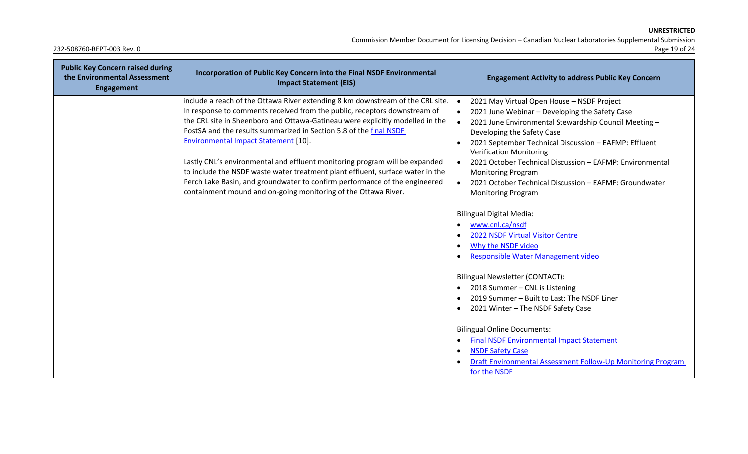Commission Member Document for Licensing Decision – Canadian Nuclear Laboratories Supplemental Submission

| <b>Public Key Concern raised during</b><br>the Environmental Assessment<br>Engagement | Incorporation of Public Key Concern into the Final NSDF Environmental<br><b>Impact Statement (EIS)</b>                                                                                                                                                                                                                                                                                                                                                                                                                                                                                                                                                                             | <b>Engagement Activity to address Public Key Concern</b>                                                                                                                                                                                                                                                                                                                                                                                                                                         |
|---------------------------------------------------------------------------------------|------------------------------------------------------------------------------------------------------------------------------------------------------------------------------------------------------------------------------------------------------------------------------------------------------------------------------------------------------------------------------------------------------------------------------------------------------------------------------------------------------------------------------------------------------------------------------------------------------------------------------------------------------------------------------------|--------------------------------------------------------------------------------------------------------------------------------------------------------------------------------------------------------------------------------------------------------------------------------------------------------------------------------------------------------------------------------------------------------------------------------------------------------------------------------------------------|
|                                                                                       | include a reach of the Ottawa River extending 8 km downstream of the CRL site.<br>In response to comments received from the public, receptors downstream of<br>the CRL site in Sheenboro and Ottawa-Gatineau were explicitly modelled in the<br>PostSA and the results summarized in Section 5.8 of the final NSDF<br><b>Environmental Impact Statement [10].</b><br>Lastly CNL's environmental and effluent monitoring program will be expanded<br>to include the NSDF waste water treatment plant effluent, surface water in the<br>Perch Lake Basin, and groundwater to confirm performance of the engineered<br>containment mound and on-going monitoring of the Ottawa River. | $\bullet$<br>2021 May Virtual Open House - NSDF Project<br>2021 June Webinar - Developing the Safety Case<br>2021 June Environmental Stewardship Council Meeting -<br>Developing the Safety Case<br>2021 September Technical Discussion - EAFMP: Effluent<br><b>Verification Monitoring</b><br>2021 October Technical Discussion - EAFMP: Environmental<br>$\bullet$<br><b>Monitoring Program</b><br>2021 October Technical Discussion - EAFMF: Groundwater<br><b>Monitoring Program</b>         |
|                                                                                       |                                                                                                                                                                                                                                                                                                                                                                                                                                                                                                                                                                                                                                                                                    | <b>Bilingual Digital Media:</b><br>www.cnl.ca/nsdf<br>2022 NSDF Virtual Visitor Centre<br>Why the NSDF video<br>Responsible Water Management video<br>Bilingual Newsletter (CONTACT):<br>2018 Summer - CNL is Listening<br>2019 Summer - Built to Last: The NSDF Liner<br>2021 Winter - The NSDF Safety Case<br><b>Bilingual Online Documents:</b><br><b>Final NSDF Environmental Impact Statement</b><br><b>NSDF Safety Case</b><br>Draft Environmental Assessment Follow-Up Monitoring Program |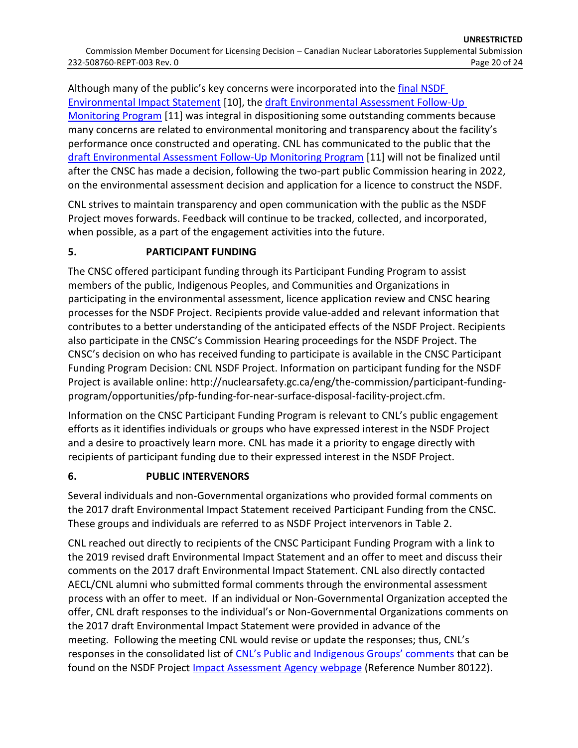Although many of the public's key concerns were incorporated into the [final NSDF](https://www.iaac-aeic.gc.ca/050/documents/p80122/139596E.pdf)  [Environmental Impact Statement](https://www.iaac-aeic.gc.ca/050/documents/p80122/139596E.pdf) [\[10\]](#page-24-9), the [draft Environmental Assessment Follow-Up](http://www.cnl.ca/wp-content/uploads/2021/07/Draft-Environmental-Assessment-Follow-Up-Monitoring-Program-for-the-Near-Surface-Disposal-Facility-Rev-0.pdf)  [Monitoring Program](http://www.cnl.ca/wp-content/uploads/2021/07/Draft-Environmental-Assessment-Follow-Up-Monitoring-Program-for-the-Near-Surface-Disposal-Facility-Rev-0.pdf) [\[11\]](#page-24-10) was integral in dispositioning some outstanding comments because many concerns are related to environmental monitoring and transparency about the facility's performance once constructed and operating. CNL has communicated to the public that the [draft Environmental Assessment Follow-Up Monitoring Program](http://www.cnl.ca/wp-content/uploads/2021/07/Draft-Environmental-Assessment-Follow-Up-Monitoring-Program-for-the-Near-Surface-Disposal-Facility-Rev-0.pdf) [\[11\]](#page-24-10) will not be finalized until after the CNSC has made a decision, following the two-part public Commission hearing in 2022, on the environmental assessment decision and application for a licence to construct the NSDF.

CNL strives to maintain transparency and open communication with the public as the NSDF Project moves forwards. Feedback will continue to be tracked, collected, and incorporated, when possible, as a part of the engagement activities into the future.

## **5. PARTICIPANT FUNDING**

The CNSC offered participant funding through its Participant Funding Program to assist members of the public, Indigenous Peoples, and Communities and Organizations in participating in the environmental assessment, licence application review and CNSC hearing processes for the NSDF Project. Recipients provide value-added and relevant information that contributes to a better understanding of the anticipated effects of the NSDF Project. Recipients also participate in the CNSC's Commission Hearing proceedings for the NSDF Project. The CNSC's decision on who has received funding to participate is available in the CNSC Participant Funding Program Decision: CNL NSDF Project. Information on participant funding for the NSDF Project is available online: [http://nuclearsafety.gc.ca/eng/the-commission/participant-funding](http://nuclearsafety.gc.ca/eng/the-commission/participant-funding-program/opportunities/pfp-funding-for-near-surface-disposal-facility-project.cfm)[program/opportunities/pfp-funding-for-near-surface-disposal-facility-project.cfm.](http://nuclearsafety.gc.ca/eng/the-commission/participant-funding-program/opportunities/pfp-funding-for-near-surface-disposal-facility-project.cfm)

Information on the CNSC Participant Funding Program is relevant to CNL's public engagement efforts as it identifies individuals or groups who have expressed interest in the NSDF Project and a desire to proactively learn more. CNL has made it a priority to engage directly with recipients of participant funding due to their expressed interest in the NSDF Project.

### **6. PUBLIC INTERVENORS**

Several individuals and non-Governmental organizations who provided formal comments on the 2017 draft Environmental Impact Statement received Participant Funding from the CNSC. These groups and individuals are referred to as NSDF Project intervenors in [Table 2.](#page-21-0)

CNL reached out directly to recipients of the CNSC Participant Funding Program with a link to the 2019 revised draft Environmental Impact Statement and an offer to meet and discuss their comments on the 2017 draft Environmental Impact Statement. CNL also directly contacted AECL/CNL alumni who submitted formal comments through the environmental assessment process with an offer to meet. If an individual or Non-Governmental Organization accepted the offer, CNL draft responses to the individual's or Non-Governmental Organizations comments on the 2017 draft Environmental Impact Statement were provided in advance of the meeting. Following the meeting CNL would revise or update the responses; thus, CNL's responses in the consolidated list of [CNL's Public and Indigenous Groups' comments](https://www.iaac-aeic.gc.ca/050/documents/p80122/139599E.pdf) that can be found on the NSDF Project *Impact Assessment Agency webpage* (Reference Number 80122).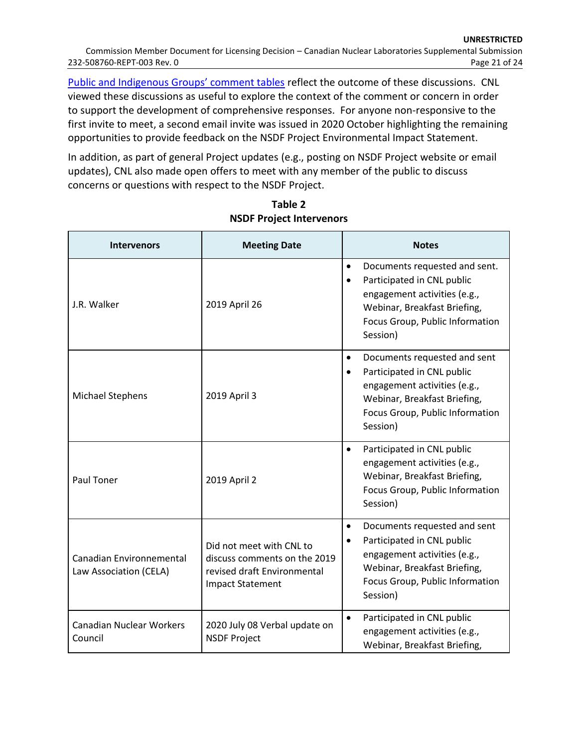[Public and Indigenous Groups' comment tables](https://www.iaac-aeic.gc.ca/050/documents/p80122/139599E.pdf) reflect the outcome of these discussions. CNL viewed these discussions as useful to explore the context of the comment or concern in order to support the development of comprehensive responses. For anyone non-responsive to the first invite to meet, a second email invite was issued in 2020 October highlighting the remaining opportunities to provide feedback on the NSDF Project Environmental Impact Statement.

In addition, as part of general Project updates (e.g., posting on NSDF Project website or email updates), CNL also made open offers to meet with any member of the public to discuss concerns or questions with respect to the NSDF Project.

<span id="page-21-0"></span>

| <b>Intervenors</b>                                 | <b>Meeting Date</b>                                                                                                | <b>Notes</b>                                                                                                                                                                            |
|----------------------------------------------------|--------------------------------------------------------------------------------------------------------------------|-----------------------------------------------------------------------------------------------------------------------------------------------------------------------------------------|
| J.R. Walker                                        | 2019 April 26                                                                                                      | Documents requested and sent.<br>$\bullet$<br>Participated in CNL public<br>engagement activities (e.g.,<br>Webinar, Breakfast Briefing,<br>Focus Group, Public Information<br>Session) |
| <b>Michael Stephens</b>                            | 2019 April 3                                                                                                       | Documents requested and sent<br>$\bullet$<br>Participated in CNL public<br>engagement activities (e.g.,<br>Webinar, Breakfast Briefing,<br>Focus Group, Public Information<br>Session)  |
| <b>Paul Toner</b>                                  | 2019 April 2                                                                                                       | Participated in CNL public<br>$\bullet$<br>engagement activities (e.g.,<br>Webinar, Breakfast Briefing,<br>Focus Group, Public Information<br>Session)                                  |
| Canadian Environnemental<br>Law Association (CELA) | Did not meet with CNL to<br>discuss comments on the 2019<br>revised draft Environmental<br><b>Impact Statement</b> | Documents requested and sent<br>$\bullet$<br>Participated in CNL public<br>engagement activities (e.g.,<br>Webinar, Breakfast Briefing,<br>Focus Group, Public Information<br>Session)  |
| <b>Canadian Nuclear Workers</b><br>Council         | 2020 July 08 Verbal update on<br><b>NSDF Project</b>                                                               | Participated in CNL public<br>$\bullet$<br>engagement activities (e.g.,<br>Webinar, Breakfast Briefing,                                                                                 |

**Table 2 NSDF Project Intervenors**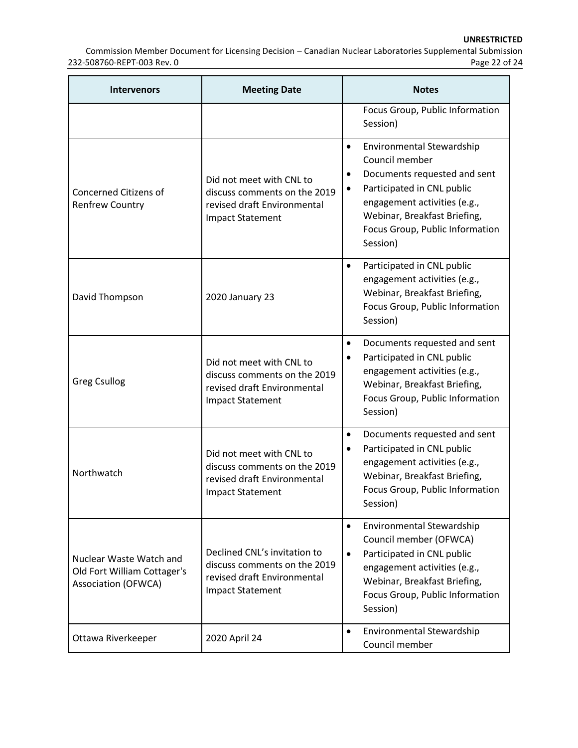Commission Member Document for Licensing Decision – Canadian Nuclear Laboratories Supplemental Submission 232-508760-REPT-003 Rev. 0

| <b>Intervenors</b>                                                                   | <b>Meeting Date</b>                                                                                                    | <b>Notes</b>                                                                                                                                                                                                                          |
|--------------------------------------------------------------------------------------|------------------------------------------------------------------------------------------------------------------------|---------------------------------------------------------------------------------------------------------------------------------------------------------------------------------------------------------------------------------------|
|                                                                                      |                                                                                                                        | Focus Group, Public Information<br>Session)                                                                                                                                                                                           |
| <b>Concerned Citizens of</b><br><b>Renfrew Country</b>                               | Did not meet with CNL to<br>discuss comments on the 2019<br>revised draft Environmental<br><b>Impact Statement</b>     | Environmental Stewardship<br>$\bullet$<br>Council member<br>Documents requested and sent<br>Participated in CNL public<br>engagement activities (e.g.,<br>Webinar, Breakfast Briefing,<br>Focus Group, Public Information<br>Session) |
| David Thompson                                                                       | 2020 January 23                                                                                                        | Participated in CNL public<br>$\bullet$<br>engagement activities (e.g.,<br>Webinar, Breakfast Briefing,<br>Focus Group, Public Information<br>Session)                                                                                |
| <b>Greg Csullog</b>                                                                  | Did not meet with CNL to<br>discuss comments on the 2019<br>revised draft Environmental<br><b>Impact Statement</b>     | Documents requested and sent<br>$\bullet$<br>Participated in CNL public<br>engagement activities (e.g.,<br>Webinar, Breakfast Briefing,<br>Focus Group, Public Information<br>Session)                                                |
| Northwatch                                                                           | Did not meet with CNL to<br>discuss comments on the 2019<br>revised draft Environmental<br><b>Impact Statement</b>     | Documents requested and sent<br>$\bullet$<br>Participated in CNL public<br>engagement activities (e.g.,<br>Webinar, Breakfast Briefing,<br>Focus Group, Public Information<br>Session)                                                |
| Nuclear Waste Watch and<br>Old Fort William Cottager's<br><b>Association (OFWCA)</b> | Declined CNL's invitation to<br>discuss comments on the 2019<br>revised draft Environmental<br><b>Impact Statement</b> | Environmental Stewardship<br>$\bullet$<br>Council member (OFWCA)<br>Participated in CNL public<br>$\bullet$<br>engagement activities (e.g.,<br>Webinar, Breakfast Briefing,<br>Focus Group, Public Information<br>Session)            |
| Ottawa Riverkeeper                                                                   | 2020 April 24                                                                                                          | Environmental Stewardship<br>$\bullet$<br>Council member                                                                                                                                                                              |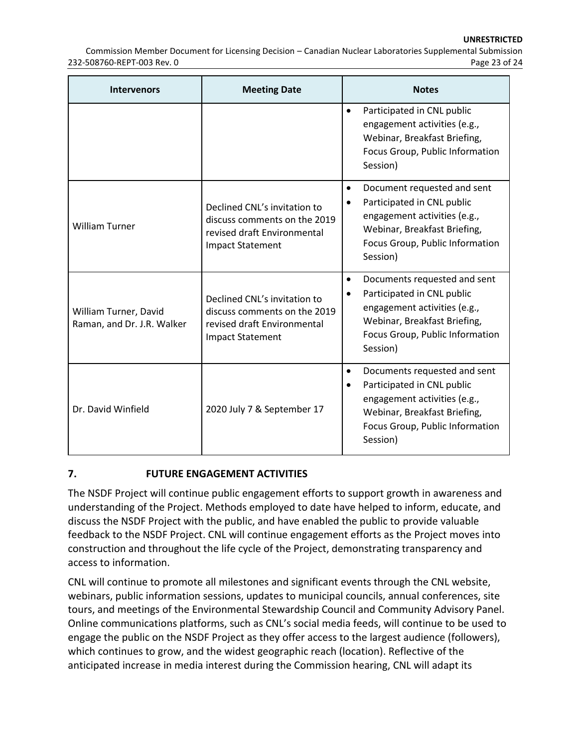Commission Member Document for Licensing Decision – Canadian Nuclear Laboratories Supplemental Submission 232-508760-REPT-003 Rev. 0 Page 23 of 24

| <b>Intervenors</b>                                  | <b>Meeting Date</b>                                                                                                    | <b>Notes</b>                                                                                                                                                                                        |
|-----------------------------------------------------|------------------------------------------------------------------------------------------------------------------------|-----------------------------------------------------------------------------------------------------------------------------------------------------------------------------------------------------|
|                                                     |                                                                                                                        | Participated in CNL public<br>$\bullet$<br>engagement activities (e.g.,<br>Webinar, Breakfast Briefing,<br>Focus Group, Public Information<br>Session)                                              |
| <b>William Turner</b>                               | Declined CNL's invitation to<br>discuss comments on the 2019<br>revised draft Environmental<br><b>Impact Statement</b> | Document requested and sent<br>٠<br>Participated in CNL public<br>engagement activities (e.g.,<br>Webinar, Breakfast Briefing,<br>Focus Group, Public Information<br>Session)                       |
| William Turner, David<br>Raman, and Dr. J.R. Walker | Declined CNL's invitation to<br>discuss comments on the 2019<br>revised draft Environmental<br><b>Impact Statement</b> | Documents requested and sent<br>٠<br>Participated in CNL public<br>engagement activities (e.g.,<br>Webinar, Breakfast Briefing,<br>Focus Group, Public Information<br>Session)                      |
| Dr. David Winfield                                  | 2020 July 7 & September 17                                                                                             | Documents requested and sent<br>$\bullet$<br>Participated in CNL public<br>$\bullet$<br>engagement activities (e.g.,<br>Webinar, Breakfast Briefing,<br>Focus Group, Public Information<br>Session) |

### **7. FUTURE ENGAGEMENT ACTIVITIES**

The NSDF Project will continue public engagement efforts to support growth in awareness and understanding of the Project. Methods employed to date have helped to inform, educate, and discuss the NSDF Project with the public, and have enabled the public to provide valuable feedback to the NSDF Project. CNL will continue engagement efforts as the Project moves into construction and throughout the life cycle of the Project, demonstrating transparency and access to information.

CNL will continue to promote all milestones and significant events through the CNL website, webinars, public information sessions, updates to municipal councils, annual conferences, site tours, and meetings of the Environmental Stewardship Council and Community Advisory Panel. Online communications platforms, such as CNL's social media feeds, will continue to be used to engage the public on the NSDF Project as they offer access to the largest audience (followers), which continues to grow, and the widest geographic reach (location). Reflective of the anticipated increase in media interest during the Commission hearing, CNL will adapt its